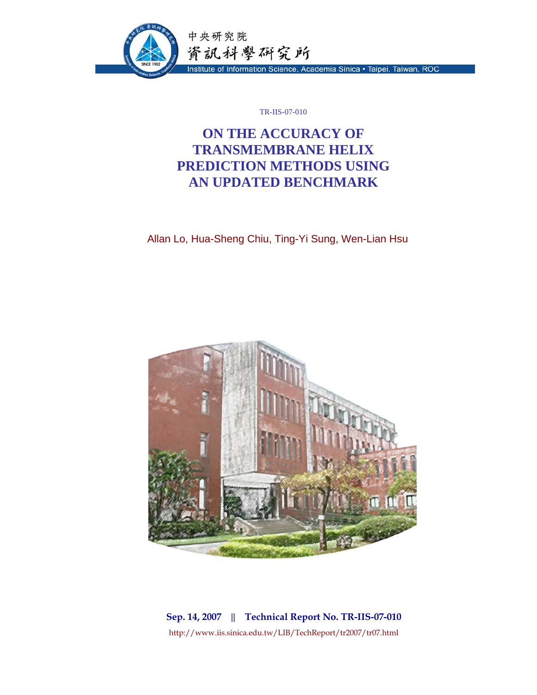

TR-IIS-07-010

# **ON THE ACCURACY OF TRANSMEMBRANE HELIX PREDICTION METHODS USING AN UPDATED BENCHMARK**

Allan Lo, Hua-Sheng Chiu, Ting-Yi Sung, Wen-Lian Hsu



**Sep. 14, 2007 || Technical Report No. TR-IIS-07-010**  http://www.iis.sinica.edu.tw/LIB/TechReport/tr2007/tr07.html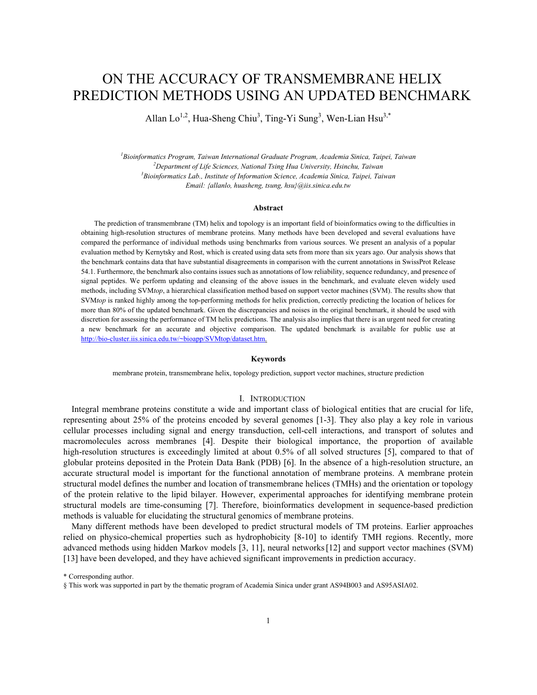# ON THE ACCURACY OF TRANSMEMBRANE HELIX PREDICTION METHODS USING AN UPDATED BENCHMARK

Allan Lo<sup>1,2</sup>, Hua-Sheng Chiu<sup>3</sup>, Ting-Yi Sung<sup>3</sup>, Wen-Lian Hsu<sup>3,\*</sup>

*1 Bioinformatics Program, Taiwan International Graduate Program, Academia Sinica, Taipei, Taiwan 2* <sup>2</sup>Department of Life Sciences, National Tsing Hua University, Hsinchu, Taiwan *Bioinformatics Lab., Institute of Information Science, Academia Sinica, Taipei, Taiwan Email: {allanlo, huasheng, tsung, hsu}@iis.sinica.edu.tw* 

#### **Abstract**

The prediction of transmembrane (TM) helix and topology is an important field of bioinformatics owing to the difficulties in obtaining high-resolution structures of membrane proteins. Many methods have been developed and several evaluations have compared the performance of individual methods using benchmarks from various sources. We present an analysis of a popular evaluation method by Kernytsky and Rost, which is created using data sets from more than six years ago. Our analysis shows that the benchmark contains data that have substantial disagreements in comparison with the current annotations in SwissProt Release 54.1. Furthermore, the benchmark also contains issues such as annotations of low reliability, sequence redundancy, and presence of signal peptides. We perform updating and cleansing of the above issues in the benchmark, and evaluate eleven widely used methods, including SVM*top*, a hierarchical classification method based on support vector machines (SVM). The results show that SVMtop is ranked highly among the top-performing methods for helix prediction, correctly predicting the location of helices for more than 80% of the updated benchmark. Given the discrepancies and noises in the original benchmark, it should be used with discretion for assessing the performance of TM helix predictions. The analysis also implies that there is an urgent need for creating a new benchmark for an accurate and objective comparison. The updated benchmark is available for public use at http://bio-cluster.iis.sinica.edu.tw/~bioapp/SVMtop/dataset.htm.

#### **Keywords**

membrane protein, transmembrane helix, topology prediction, support vector machines, structure prediction

### I. INTRODUCTION

Integral membrane proteins constitute a wide and important class of biological entities that are crucial for life, representing about 25% of the proteins encoded by several genomes [1-3]. They also play a key role in various cellular processes including signal and energy transduction, cell-cell interactions, and transport of solutes and macromolecules across membranes [4]. Despite their biological importance, the proportion of available high-resolution structures is exceedingly limited at about 0.5% of all solved structures [5], compared to that of globular proteins deposited in the Protein Data Bank (PDB) [6]. In the absence of a high-resolution structure, an accurate structural model is important for the functional annotation of membrane proteins. A membrane protein structural model defines the number and location of transmembrane helices (TMHs) and the orientation or topology of the protein relative to the lipid bilayer. However, experimental approaches for identifying membrane protein structural models are time-consuming [7]. Therefore, bioinformatics development in sequence-based prediction methods is valuable for elucidating the structural genomics of membrane proteins.

Many different methods have been developed to predict structural models of TM proteins. Earlier approaches relied on physico-chemical properties such as hydrophobicity [8-10] to identify TMH regions. Recently, more advanced methods using hidden Markov models [3, 11], neural networks [12] and support vector machines (SVM) [13] have been developed, and they have achieved significant improvements in prediction accuracy.

\* Corresponding author.

<sup>§</sup> This work was supported in part by the thematic program of Academia Sinica under grant AS94B003 and AS95ASIA02.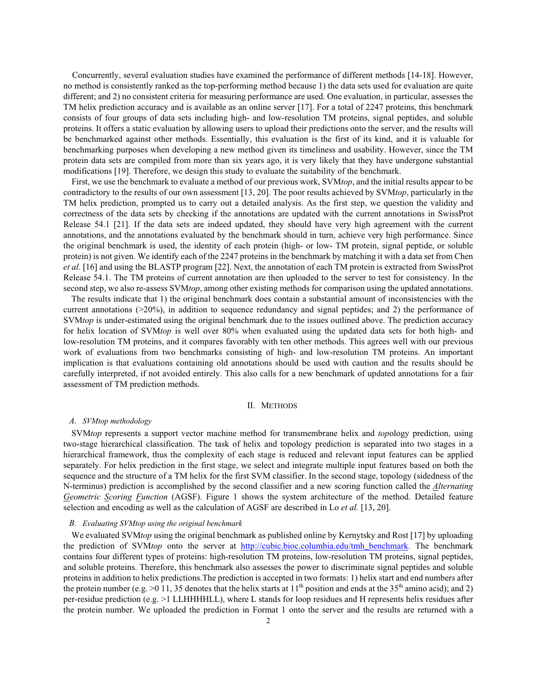Concurrently, several evaluation studies have examined the performance of different methods [14-18]. However, no method is consistently ranked as the top-performing method because 1) the data sets used for evaluation are quite different; and 2) no consistent criteria for measuring performance are used. One evaluation, in particular, assesses the TM helix prediction accuracy and is available as an online server [17]. For a total of 2247 proteins, this benchmark consists of four groups of data sets including high- and low-resolution TM proteins, signal peptides, and soluble proteins. It offers a static evaluation by allowing users to upload their predictions onto the server, and the results will be benchmarked against other methods. Essentially, this evaluation is the first of its kind, and it is valuable for benchmarking purposes when developing a new method given its timeliness and usability. However, since the TM protein data sets are compiled from more than six years ago, it is very likely that they have undergone substantial modifications [19]. Therefore, we design this study to evaluate the suitability of the benchmark.

First, we use the benchmark to evaluate a method of our previous work, SVM*top*, and the initial results appear to be contradictory to the results of our own assessment [13, 20]. The poor results achieved by SVM*top*, particularly in the TM helix prediction, prompted us to carry out a detailed analysis. As the first step, we question the validity and correctness of the data sets by checking if the annotations are updated with the current annotations in SwissProt Release 54.1 [21]. If the data sets are indeed updated, they should have very high agreement with the current annotations, and the annotations evaluated by the benchmark should in turn, achieve very high performance. Since the original benchmark is used, the identity of each protein (high- or low- TM protein, signal peptide, or soluble protein) is not given. We identify each of the 2247 proteins in the benchmark by matching it with a data set from Chen *et al*. [16] and using the BLASTP program [22]. Next, the annotation of each TM protein is extracted from SwissProt Release 54.1. The TM proteins of current annotation are then uploaded to the server to test for consistency. In the second step, we also re-assess SVM*top*, among other existing methods for comparison using the updated annotations.

The results indicate that 1) the original benchmark does contain a substantial amount of inconsistencies with the current annotations (>20%), in addition to sequence redundancy and signal peptides; and 2) the performance of SVM*top* is under-estimated using the original benchmark due to the issues outlined above. The prediction accuracy for helix location of SVM*top* is well over 80% when evaluated using the updated data sets for both high- and low-resolution TM proteins, and it compares favorably with ten other methods. This agrees well with our previous work of evaluations from two benchmarks consisting of high- and low-resolution TM proteins. An important implication is that evaluations containing old annotations should be used with caution and the results should be carefully interpreted, if not avoided entirely. This also calls for a new benchmark of updated annotations for a fair assessment of TM prediction methods.

#### II. METHODS

#### *A. SVMtop methodology*

SVM*top* represents a support vector machine method for transmembrane helix and *top*ology prediction, using two-stage hierarchical classification. The task of helix and topology prediction is separated into two stages in a hierarchical framework, thus the complexity of each stage is reduced and relevant input features can be applied separately. For helix prediction in the first stage, we select and integrate multiple input features based on both the sequence and the structure of a TM helix for the first SVM classifier. In the second stage, topology (sidedness of the N-terminus) prediction is accomplished by the second classifier and a new scoring function called the *Alternating Geometric Scoring Function* (AGSF). Figure 1 shows the system architecture of the method. Detailed feature selection and encoding as well as the calculation of AGSF are described in Lo *et al.* [13, 20].

#### *B. Evaluating SVMtop using the original benchmark*

We evaluated SVM*top* using the original benchmark as published online by Kernytsky and Rost [17] by uploading the prediction of SVM*top* onto the server at http://cubic.bioc.columbia.edu/tmh\_benchmark. The benchmark contains four different types of proteins: high-resolution TM proteins, low-resolution TM proteins, signal peptides, and soluble proteins. Therefore, this benchmark also assesses the power to discriminate signal peptides and soluble proteins in addition to helix predictions.The prediction is accepted in two formats: 1) helix start and end numbers after the protein number (e.g.  $>0$  11, 35 denotes that the helix starts at 11<sup>th</sup> position and ends at the 35<sup>th</sup> amino acid); and 2) per-residue prediction (e.g. >1 LLHHHHLL), where L stands for loop residues and H represents helix residues after the protein number. We uploaded the prediction in Format 1 onto the server and the results are returned with a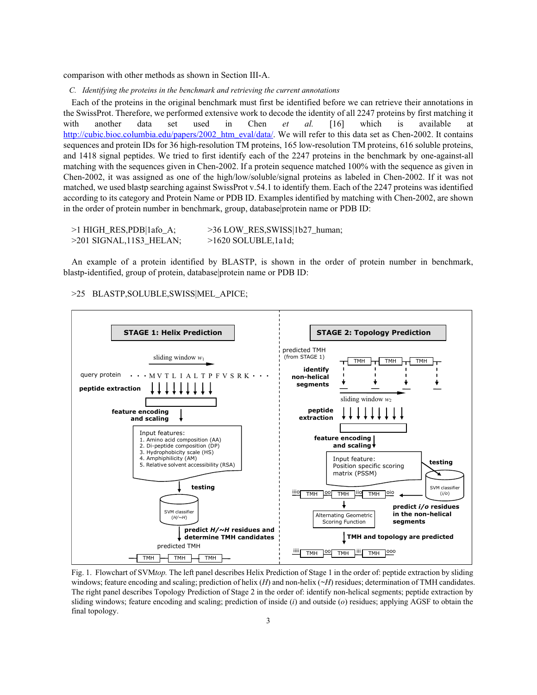comparison with other methods as shown in Section III-A.

*C. Identifying the proteins in the benchmark and retrieving the current annotations* 

Each of the proteins in the original benchmark must first be identified before we can retrieve their annotations in the SwissProt. Therefore, we performed extensive work to decode the identity of all 2247 proteins by first matching it with another data set used in Chen *et al.* [16] which is available at http://cubic.bioc.columbia.edu/papers/2002\_htm\_eval/data/. We will refer to this data set as Chen-2002. It contains sequences and protein IDs for 36 high-resolution TM proteins, 165 low-resolution TM proteins, 616 soluble proteins, and 1418 signal peptides. We tried to first identify each of the 2247 proteins in the benchmark by one-against-all matching with the sequences given in Chen-2002. If a protein sequence matched 100% with the sequence as given in Chen-2002, it was assigned as one of the high/low/soluble/signal proteins as labeled in Chen-2002. If it was not matched, we used blastp searching against SwissProt v.54.1 to identify them. Each of the 2247 proteins was identified according to its category and Protein Name or PDB ID. Examples identified by matching with Chen-2002, are shown in the order of protein number in benchmark, group, database|protein name or PDB ID:

| >1 HIGH_RES,PDB 1afo_A;     | >36 LOW_RES, SWISS   1b27_human; |
|-----------------------------|----------------------------------|
| $>$ 201 SIGNAL, 11S3 HELAN; | $>1620$ SOLUBLE, 1a1d;           |

An example of a protein identified by BLASTP, is shown in the order of protein number in benchmark, blastp-identified, group of protein, database|protein name or PDB ID:

>25 BLASTP,SOLUBLE,SWISS|MEL\_APICE;



Fig. 1. Flowchart of SVM*top.* The left panel describes Helix Prediction of Stage 1 in the order of: peptide extraction by sliding windows; feature encoding and scaling; prediction of helix (*H*) and non-helix ( $\sim$ *H*) residues; determination of TMH candidates. The right panel describes Topology Prediction of Stage 2 in the order of: identify non-helical segments; peptide extraction by sliding windows; feature encoding and scaling; prediction of inside (*i*) and outside (*o*) residues; applying AGSF to obtain the final topology.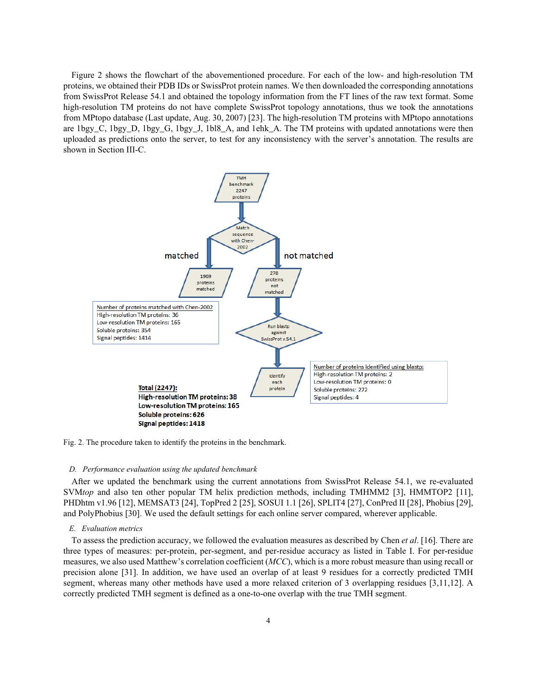Figure 2 shows the flowchart of the abovementioned procedure. For each of the low- and high-resolution TM proteins, we obtained their PDB IDs or SwissProt protein names. We then downloaded the corresponding annotations from SwissProt Release 54.1 and obtained the topology information from the FT lines of the raw text format. Some high-resolution TM proteins do not have complete SwissProt topology annotations, thus we took the annotations from MPtopo database (Last update, Aug. 30, 2007) [23]. The high-resolution TM proteins with MPtopo annotations are 1bgy\_C, 1bgy\_D, 1bgy\_G, 1bgy\_J, 1bl8\_A, and 1ehk\_A. The TM proteins with updated annotations were then uploaded as predictions onto the server, to test for any inconsistency with the server's annotation. The results are shown in Section III-C.



Fig. 2. The procedure taken to identify the proteins in the benchmark.

#### *D. Performance evaluation using the updated benchmark*

After we updated the benchmark using the current annotations from SwissProt Release 54.1, we re-evaluated SVM*top* and also ten other popular TM helix prediction methods, including TMHMM2 [3], HMMTOP2 [11], PHDhtm v1.96 [12], MEMSAT3 [24], TopPred 2 [25], SOSUI 1.1 [26], SPLIT4 [27], ConPred II [28], Phobius [29], and PolyPhobius [30]. We used the default settings for each online server compared, wherever applicable.

#### *E. Evaluation metrics*

To assess the prediction accuracy, we followed the evaluation measures as described by Chen *et al*. [16]. There are three types of measures: per-protein, per-segment, and per-residue accuracy as listed in Table I. For per-residue measures, we also used Matthew's correlation coefficient (*MCC*), which is a more robust measure than using recall or precision alone [31]. In addition, we have used an overlap of at least 9 residues for a correctly predicted TMH segment, whereas many other methods have used a more relaxed criterion of 3 overlapping residues [3,11,12]. A correctly predicted TMH segment is defined as a one-to-one overlap with the true TMH segment.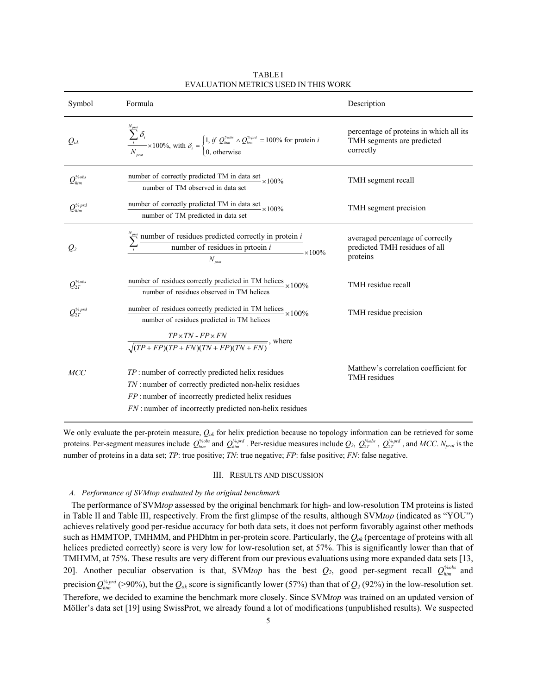| Symbol                                       | Formula                                                                                                                                                                                                                                                                   | Description                                                                        |
|----------------------------------------------|---------------------------------------------------------------------------------------------------------------------------------------------------------------------------------------------------------------------------------------------------------------------------|------------------------------------------------------------------------------------|
| $Q_{ok}$                                     | $\frac{\sum_{i}^{i} \sigma_{i}}{N_{\text{max}}} \times 100\%, \text{ with } \delta_{i} = \begin{cases} 1, & \text{if } Q_{\text{hmm}}^{s_{\text{obs}}} \wedge Q_{\text{hmm}}^{s_{\text{p}} \wedge d} = 100\% \text{ for protein } i \\ 0, & \text{otherwise} \end{cases}$ | percentage of proteins in which all its<br>TMH segments are predicted<br>correctly |
| $\mathcal{Q}_{\mathit{htm}}^{\mathit{%obs}}$ | number of correctly predicted TM in data set<br>$-x100\%$<br>number of TM observed in data set                                                                                                                                                                            | TMH segment recall                                                                 |
| $\mathcal{Q}_{\mathit{htm}}^{\mathit{%prd}}$ | number of correctly predicted TM in data set ×100%<br>number of TM predicted in data set                                                                                                                                                                                  | TMH segment precision                                                              |
| $Q_2$                                        | $\sum_{i}^{N_{pure}}$ number of residues predicted correctly in protein <i>i</i> number of residues in prtoein <i>i</i><br>$\times 100\%$<br>$N_{\text{prot}}$                                                                                                            | averaged percentage of correctly<br>predicted TMH residues of all<br>proteins      |
| $\mathcal{Q}_{2T}^{\text{\tiny\it\%obs}}$    | number of residues correctly predicted in TM helices<br>$2 \times 100\%$<br>number of residues observed in TM helices                                                                                                                                                     | TMH residue recall                                                                 |
| $Q_{2T}^{\%prd}$                             | number of residues correctly predicted in TM helices $\times 100\%$<br>number of residues predicted in TM helices                                                                                                                                                         | TMH residue precision                                                              |
|                                              | $\frac{TP \times TN - FP \times FN}{\sqrt{(TP + FP)(TP + FN)(TN + FP)(TN + FN)}}$ , where                                                                                                                                                                                 |                                                                                    |
| MCC                                          | $TP$ : number of correctly predicted helix residues<br><i>TN</i> : number of correctly predicted non-helix residues<br><i>FP</i> : number of incorrectly predicted helix residues<br><i>FN</i> : number of incorrectly predicted non-helix residues                       | Matthew's correlation coefficient for<br><b>TMH</b> residues                       |

TABLE I EVALUATION METRICS USED IN THIS WORK

We only evaluate the per-protein measure, *Qok* for helix prediction because no topology information can be retrieved for some proteins. Per-segment measures include  $Q_{\text{thm}}^{\text{s}}$  and  $Q_{\text{thm}}^{\text{s}}$  and  $Q_{\text{thm}}^{\text{s}}$ . Per-residue measures include  $Q_2$ ,  $Q_{2T}^{\text{s}}$ ,  $Q_{2T}^{\text{s}}$ ,  $Q_{2T}^{\text{s}}$ , and MCC.  $N_{prot}$  is the number of proteins in a data set; *TP*: true positive; *TN*: true negative; *FP*: false positive; *FN*: false negative.

#### III. RESULTS AND DISCUSSION

#### *A. Performance of SVMtop evaluated by the original benchmark*

The performance of SVM*top* assessed by the original benchmark for high- and low-resolution TM proteins is listed in Table II and Table III, respectively. From the first glimpse of the results, although SVM*top* (indicated as "YOU") achieves relatively good per-residue accuracy for both data sets, it does not perform favorably against other methods such as HMMTOP, TMHMM, and PHDhtm in per-protein score. Particularly, the *Qok* (percentage of proteins with all helices predicted correctly) score is very low for low-resolution set, at 57%. This is significantly lower than that of TMHMM, at 75%. These results are very different from our previous evaluations using more expanded data sets [13, 20]. Another peculiar observation is that, SVM*top* has the best  $Q_2$ , good per-segment recall  $Q_{htm}^{\gamma_{\text{oobs}}}$  and precision  $Q_{\text{thm}}^{\text{4-prd}}$  (>90%), but the  $Q_{\text{ok}}$  score is significantly lower (57%) than that of  $Q_2$  (92%) in the low-resolution set. Therefore, we decided to examine the benchmark more closely. Since SVM*top* was trained on an updated version of Möller's data set [19] using SwissProt, we already found a lot of modifications (unpublished results). We suspected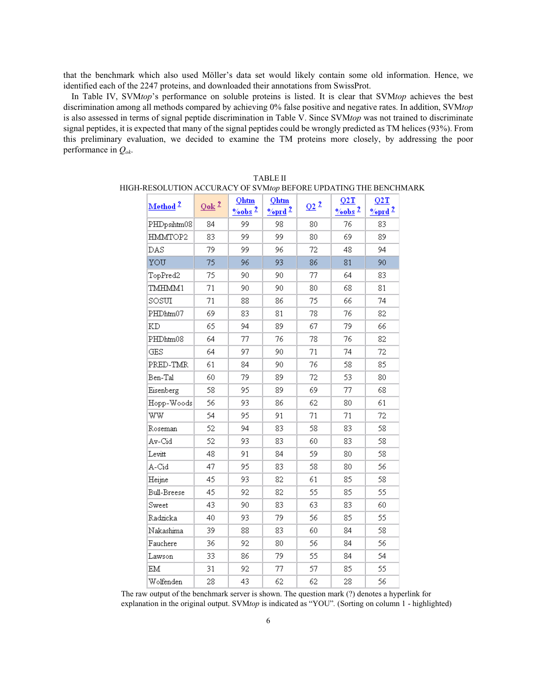that the benchmark which also used Möller's data set would likely contain some old information. Hence, we identified each of the 2247 proteins, and downloaded their annotations from SwissProt.

In Table IV, SVM*top*'s performance on soluble proteins is listed. It is clear that SVM*top* achieves the best discrimination among all methods compared by achieving 0% false positive and negative rates. In addition, SVM*top* is also assessed in terms of signal peptide discrimination in Table V. Since SVM*top* was not trained to discriminate signal peptides, it is expected that many of the signal peptides could be wrongly predicted as TM helices (93%). From this preliminary evaluation, we decided to examine the TM proteins more closely, by addressing the poor performance in *Qok*.

|             |                     | <b>Qhtm</b>                    | Qhtm                 |        | Q2T                            | Q2T                  |
|-------------|---------------------|--------------------------------|----------------------|--------|--------------------------------|----------------------|
| Method $^2$ | $Q$ ok <sup>2</sup> | $\frac{9}{6}$ obs <sup>2</sup> | $\frac{9}{\sqrt{2}}$ | $Q2^2$ | $\frac{9}{6}$ obs <sup>2</sup> | $\frac{9}{\sqrt{2}}$ |
| PHDpsihtm08 | 84                  | 99                             | 98                   | 80     | 76                             | 83                   |
| HMMTOP2     | 83                  | 99                             | 99                   | 80     | 69                             | 89                   |
| DAS         | 79                  | 99                             | 96                   | 72     | 48                             | 94                   |
| YOU         | 75                  | 96                             | 93                   | 86     | 81                             | 90                   |
| TopPred2    | 75                  | 90                             | 90                   | 77     | 64                             | 83                   |
| TMHMM1      | 71                  | 90                             | 90                   | 80     | 68                             | 81                   |
| SOSUI       | 71                  | 88                             | 86                   | 75     | 66                             | 74                   |
| PHDhtm07    | 69                  | 83                             | 81                   | 78     | 76                             | 82                   |
| KD          | 65                  | 94                             | 89                   | 67     | 79                             | 66                   |
| PHDhtm08    | 64                  | 77                             | 76                   | 78     | 76                             | 82                   |
| GES         | 64                  | 97                             | 90                   | 71     | 74                             | 72                   |
| PRED-TMR    | 61                  | 84                             | 90                   | 76     | 58                             | 85                   |
| Ben-Tal     | 60                  | 79                             | 89                   | 72     | 53                             | 80                   |
| Eisenberg   | 58                  | 95                             | 89                   | 69     | 77                             | 68                   |
| Hopp-Woods  | 56                  | 93                             | 86                   | 62     | 80                             | 61                   |
| ww          | 54                  | 95                             | 91                   | 71     | 71                             | 72                   |
| Roseman     | 52                  | 94                             | 83                   | 58     | 83                             | 58                   |
| Av-Cid      | 52                  | 93                             | 83                   | 60     | 83                             | 58                   |
| Levitt      | 48                  | 91                             | 84                   | 59     | 80                             | 58                   |
| A-Cid       | 47                  | 95                             | 83                   | 58     | 80                             | 56                   |
| Heijne      | 45                  | 93                             | 82                   | 61     | 85                             | 58                   |
| Bull-Breese | 45                  | 92                             | 82                   | 55     | 85                             | 55                   |
| Sweet       | 43                  | 90                             | 83                   | 63     | 83                             | 60                   |
| Radzicka    | 40                  | 93                             | 79                   | 56     | 85                             | 55                   |
| Nakashima   | 39                  | 88                             | 83                   | 60     | 84                             | 58                   |
| Fauchere    | 36                  | 92                             | 80                   | 56     | 84                             | 56                   |
| Lawson      | 33                  | 86                             | 79                   | 55     | 84                             | 54                   |
| EM          | 31                  | 92                             | 77                   | 57     | 85                             | 55                   |
| Wolfenden   | 28                  | 43                             | 62                   | 62     | 28                             | 56                   |

| TABLE II                                                         |
|------------------------------------------------------------------|
| HIGH-RESOLUTION ACCURACY OF SVMtop BEFORE UPDATING THE BENCHMARK |

The raw output of the benchmark server is shown. The question mark (?) denotes a hyperlink for explanation in the original output. SVM*top* is indicated as "YOU"*.* (Sorting on column 1 - highlighted)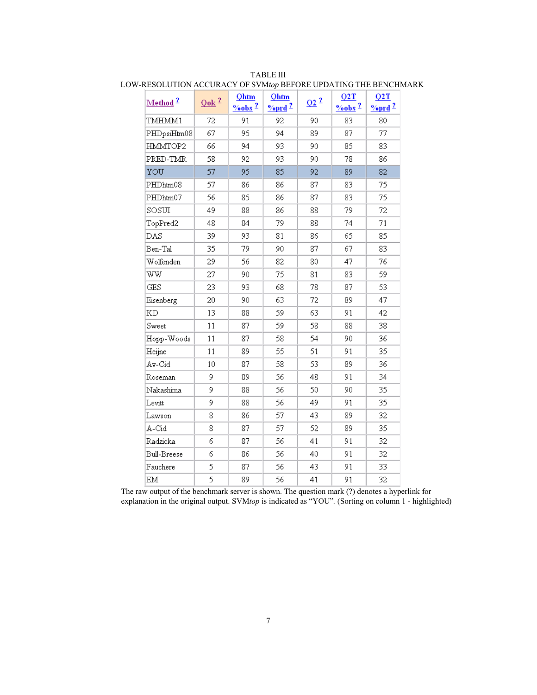| Method <sup>2</sup> | $Q$ ok <sup>2</sup> | <b>Qhtm</b><br>$\%$ obs <sup>2</sup> | <b>Qhtm</b><br>$\frac{9}{\sqrt{2}}$ | Q2 <sup>2</sup> | Q2T<br>$\degree$ obs <sup>2</sup> | Q2T<br>$\frac{9}{\sqrt{2}}$ |
|---------------------|---------------------|--------------------------------------|-------------------------------------|-----------------|-----------------------------------|-----------------------------|
| TMHMM1              | 72                  | 91                                   | 92                                  | 90              | 83                                | 80                          |
| PHDpsiHtm08         | 67                  | 95                                   | 94                                  | 89              | 87                                | 77                          |
| HMMTOP2             | 66                  | 94                                   | 93                                  | 90              | 85                                | 83                          |
| PRED-TMR            | 58                  | 92                                   | 93                                  | 90              | 78                                | 86                          |
| YOU                 | 57                  | 95                                   | 85                                  | 92              | 89                                | 82                          |
| PHDhtm08            | 57                  | 86                                   | 86                                  | 87              | 83                                | 75                          |
| PHDhtm07            | 56                  | 85                                   | 86                                  | 87              | 83                                | 75                          |
| SOSUI               | 49                  | 88                                   | 86                                  | 88              | 79                                | 72                          |
| TopPred2            | 48                  | 84                                   | 79                                  | 88              | 74                                | 71                          |
| DAS                 | 39                  | 93                                   | 81                                  | 86              | 65                                | 85                          |
| Ben-Tal             | 35                  | 79                                   | 90                                  | 87              | 67                                | 83                          |
| Wolfenden           | 29                  | 56                                   | 82                                  | 80              | 47                                | 76                          |
| ww                  | 27                  | 90                                   | 75                                  | 81              | 83                                | 59                          |
| <b>GES</b>          | 23                  | 93                                   | 68                                  | 78              | 87                                | 53                          |
| Eisenberg           | 20                  | 90                                   | 63                                  | 72              | 89                                | 47                          |
| <b>KD</b>           | 13                  | 88                                   | 59                                  | 63              | 91                                | 42                          |
| Sweet               | 11                  | 87                                   | 59                                  | 58              | 88                                | 38                          |
| Hopp-Woods          | 11                  | 87                                   | 58                                  | 54              | 90                                | 36                          |
| Heijne              | 11                  | 89                                   | 55                                  | 51              | 91                                | 35                          |
| Av-Cid              | 10                  | 87                                   | 58                                  | 53              | 89                                | 36                          |
| Roseman             | 9                   | 89                                   | 56                                  | 48              | 91                                | 34                          |
| Nakashima           | 9                   | 88                                   | 56                                  | 50              | 90                                | 35                          |
| Levitt              | 9                   | 88                                   | 56                                  | 49              | 91                                | 35                          |
| Lawson              | 8                   | 86                                   | 57                                  | 43              | 89                                | 32                          |
| A-Cid               | 8                   | 87                                   | 57                                  | 52              | 89                                | 35                          |
| Radzicka            | 6                   | 87                                   | 56                                  | 41              | 91                                | 32                          |
| Bull-Breese         | 6                   | 86                                   | 56                                  | 40              | 91                                | 32                          |
| Fauchere            | 5                   | 87                                   | 56                                  | 43              | 91                                | 33                          |
| EM                  | 5                   | 89                                   | 56                                  | 41              | 91                                | 32                          |

TABLE III LOW-RESOLUTION ACCURACY OF SVM*top* BEFORE UPDATING THE BENCHMARK

The raw output of the benchmark server is shown. The question mark (?) denotes a hyperlink for explanation in the original output. SVM*top* is indicated as "YOU"*.* (Sorting on column 1 - highlighted)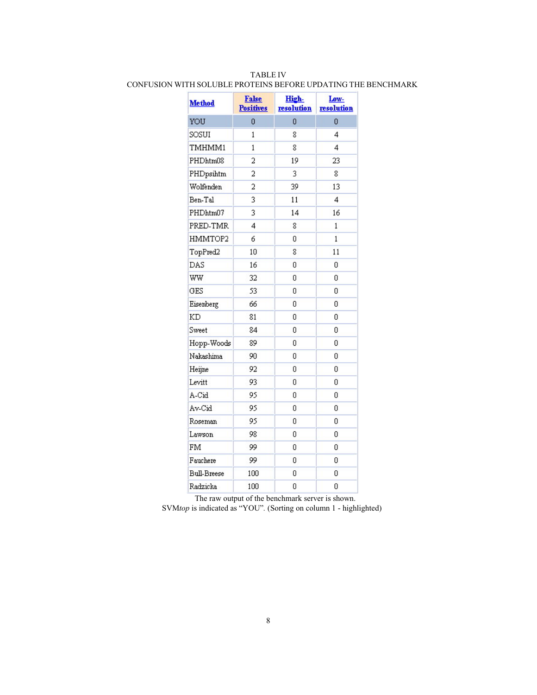| <b>Method</b>      | <b>False</b><br><b>Positives</b> | High-<br>resolution | Low-<br>resolution |
|--------------------|----------------------------------|---------------------|--------------------|
| YOU                | 0                                | 0                   | 0                  |
| SOSUI              | 1                                | 8                   | 4                  |
| TMHMM1             | 1                                | 8                   | 4                  |
| PHDhtm08           | 2                                | 19                  | 23                 |
| PHDpsihtm          | 2                                | 3                   | 8                  |
| Wolfenden          | 2                                | 39                  | 13                 |
| Ben-Tal            | 3                                | 11                  | 4                  |
| PHDhtm07           | 3                                | 14                  | 16                 |
| PRED-TMR           | 4                                | 8                   | 1                  |
| HMMTOP2            | 6                                | 0                   | $\mathbf{1}$       |
| TopPred2           | 10                               | 8                   | 11                 |
| DAS                | 16                               | 0                   | 0                  |
| WW                 | 32                               | 0                   | 0                  |
| GES                | 53                               | 0                   | 0                  |
| Eisenberg          | 66                               | 0                   | 0                  |
| KD                 | 81                               | 0                   | 0                  |
| Sweet              | 84                               | 0                   | 0                  |
| Hopp-Woods         | 89                               | 0                   | O                  |
| Nakashima          | 90                               | 0                   | 0                  |
| Heijne             | 92                               | 0                   | 0                  |
| Levitt             | 93                               | 0                   | 0                  |
| A-Cid              | 95                               | 0                   | 0                  |
| Av-Cid             | 95                               | 0                   | 0                  |
| Roseman            | 95                               | 0                   | 0                  |
| Lawson             | 98                               | 0                   | 0                  |
| FM                 | 99                               | 0                   | 0                  |
| Fauchere           | 99                               | 0                   | 0                  |
| <b>Bull-Breese</b> | 100                              | 0                   | 0                  |
| Radzicka           | 100                              | 0                   | Ō                  |

## TABLE IV CONFUSION WITH SOLUBLE PROTEINS BEFORE UPDATING THE BENCHMARK

The raw output of the benchmark server is shown. SVM*top* is indicated as "YOU"*.* (Sorting on column 1 - highlighted)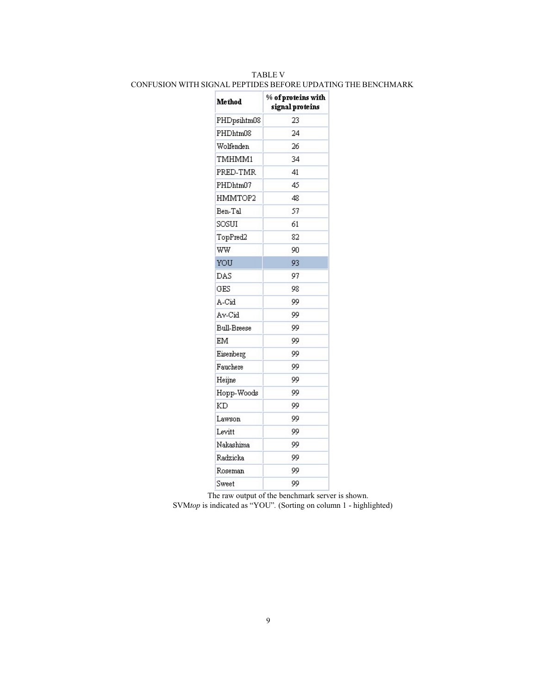## TABLE V CONFUSION WITH SIGNAL PEPTIDES BEFORE UPDATING THE BENCHMARK

| Method             | % of proteins with<br>signal proteins |
|--------------------|---------------------------------------|
| PHDpsihtm08        | 23                                    |
| PHDhtm08           | 24                                    |
| Wolfenden          | 26                                    |
| TMHMM1             | 34                                    |
| PRED-TMR           | 41                                    |
| PHDhtm07           | 45                                    |
| HMMTOP2            | 48                                    |
| Ben-Tal            | 57                                    |
| SOSUI              | 61                                    |
| TopPred2           | 82                                    |
| ww                 | 90                                    |
| YOU                | 93                                    |
| DAS                | 97                                    |
| GES                | 98                                    |
| A-Cid              | 99                                    |
| Av-Cid             | 99                                    |
| <b>Bull-Breese</b> | 99                                    |
| EM                 | 99                                    |
| Eisenberg          | 99                                    |
| Fauchere           | 99                                    |
| Heijne             | 99                                    |
| Hopp-Woods         | 99                                    |
| KD                 | 99                                    |
| Lawson             | 99                                    |
| Levitt             | 99                                    |
| Nakashima          | 99                                    |
| Radzicka           | 99                                    |
| Roseman            | 99                                    |
| Sweet              | QQ                                    |

The raw output of the benchmark server is shown.

SVM*top* is indicated as "YOU"*.* (Sorting on column 1 - highlighted)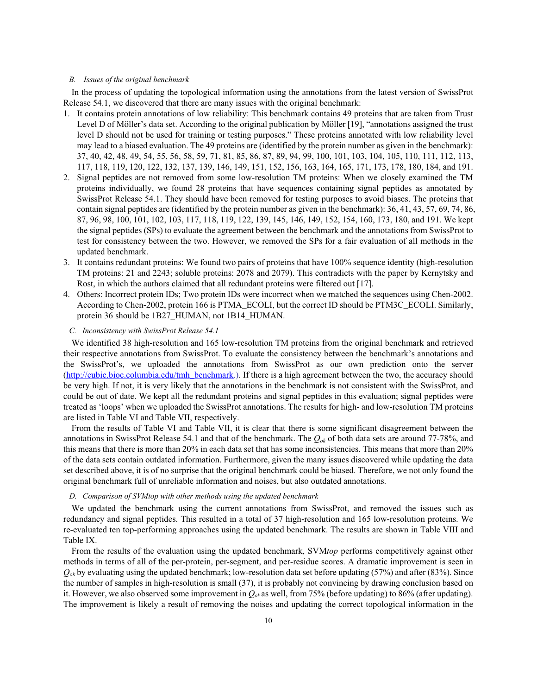#### *B. Issues of the original benchmark*

In the process of updating the topological information using the annotations from the latest version of SwissProt Release 54.1, we discovered that there are many issues with the original benchmark:

- 1. It contains protein annotations of low reliability: This benchmark contains 49 proteins that are taken from Trust Level D of Möller's data set. According to the original publication by Möller [19], "annotations assigned the trust level D should not be used for training or testing purposes." These proteins annotated with low reliability level may lead to a biased evaluation. The 49 proteins are (identified by the protein number as given in the benchmark): 37, 40, 42, 48, 49, 54, 55, 56, 58, 59, 71, 81, 85, 86, 87, 89, 94, 99, 100, 101, 103, 104, 105, 110, 111, 112, 113, 117, 118, 119, 120, 122, 132, 137, 139, 146, 149, 151, 152, 156, 163, 164, 165, 171, 173, 178, 180, 184, and 191.
- 2. Signal peptides are not removed from some low-resolution TM proteins: When we closely examined the TM proteins individually, we found 28 proteins that have sequences containing signal peptides as annotated by SwissProt Release 54.1. They should have been removed for testing purposes to avoid biases. The proteins that contain signal peptides are (identified by the protein number as given in the benchmark): 36, 41, 43, 57, 69, 74, 86, 87, 96, 98, 100, 101, 102, 103, 117, 118, 119, 122, 139, 145, 146, 149, 152, 154, 160, 173, 180, and 191. We kept the signal peptides (SPs) to evaluate the agreement between the benchmark and the annotations from SwissProt to test for consistency between the two. However, we removed the SPs for a fair evaluation of all methods in the updated benchmark.
- 3. It contains redundant proteins: We found two pairs of proteins that have 100% sequence identity (high-resolution TM proteins: 21 and 2243; soluble proteins: 2078 and 2079). This contradicts with the paper by Kernytsky and Rost, in which the authors claimed that all redundant proteins were filtered out [17].
- 4. Others: Incorrect protein IDs; Two protein IDs were incorrect when we matched the sequences using Chen-2002. According to Chen-2002, protein 166 is PTMA\_ECOLI, but the correct ID should be PTM3C\_ECOLI. Similarly, protein 36 should be 1B27\_HUMAN, not 1B14\_HUMAN.

#### *C. Inconsistency with SwissProt Release 54.1*

We identified 38 high-resolution and 165 low-resolution TM proteins from the original benchmark and retrieved their respective annotations from SwissProt. To evaluate the consistency between the benchmark's annotations and the SwissProt's, we uploaded the annotations from SwissProt as our own prediction onto the server (http://cubic.bioc.columbia.edu/tmh\_benchmark.). If there is a high agreement between the two, the accuracy should be very high. If not, it is very likely that the annotations in the benchmark is not consistent with the SwissProt, and could be out of date. We kept all the redundant proteins and signal peptides in this evaluation; signal peptides were treated as 'loops' when we uploaded the SwissProt annotations. The results for high- and low-resolution TM proteins are listed in Table VI and Table VII, respectively.

From the results of Table VI and Table VII, it is clear that there is some significant disagreement between the annotations in SwissProt Release 54.1 and that of the benchmark. The *Qok* of both data sets are around 77-78%, and this means that there is more than 20% in each data set that has some inconsistencies. This means that more than 20% of the data sets contain outdated information. Furthermore, given the many issues discovered while updating the data set described above, it is of no surprise that the original benchmark could be biased. Therefore, we not only found the original benchmark full of unreliable information and noises, but also outdated annotations.

#### *D. Comparison of SVMtop with other methods using the updated benchmark*

We updated the benchmark using the current annotations from SwissProt, and removed the issues such as redundancy and signal peptides. This resulted in a total of 37 high-resolution and 165 low-resolution proteins. We re-evaluated ten top-performing approaches using the updated benchmark. The results are shown in Table VIII and Table IX.

From the results of the evaluation using the updated benchmark, SVM*top* performs competitively against other methods in terms of all of the per-protein, per-segment, and per-residue scores. A dramatic improvement is seen in  $Q_{ok}$  by evaluating using the updated benchmark; low-resolution data set before updating (57%) and after (83%). Since the number of samples in high-resolution is small (37), it is probably not convincing by drawing conclusion based on it. However, we also observed some improvement in *Qok* as well, from 75% (before updating) to 86% (after updating). The improvement is likely a result of removing the noises and updating the correct topological information in the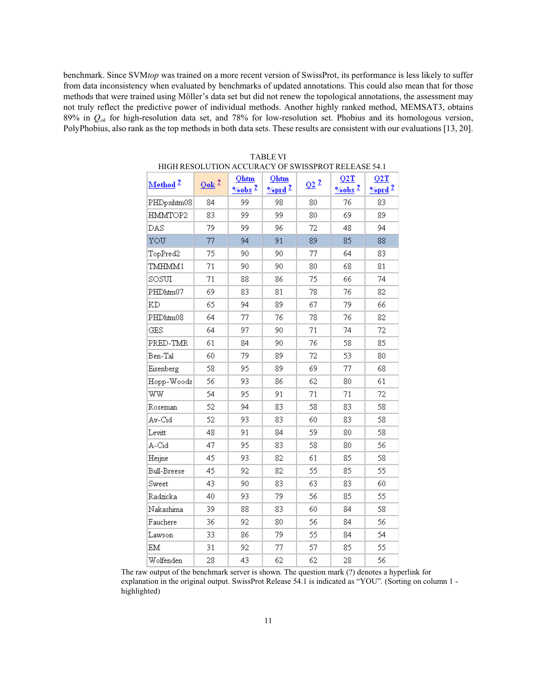benchmark. Since SVM*top* was trained on a more recent version of SwissProt, its performance is less likely to suffer from data inconsistency when evaluated by benchmarks of updated annotations. This could also mean that for those methods that were trained using Möller's data set but did not renew the topological annotations, the assessment may not truly reflect the predictive power of individual methods. Another highly ranked method, MEMSAT3, obtains 89% in *Qok* for high-resolution data set, and 78% for low-resolution set. Phobius and its homologous version, PolyPhobius, also rank as the top methods in both data sets. These results are consistent with our evaluations [13, 20].

| Method <sup>2</sup> | $Q$ ok <sup>2</sup> | Ohtm<br>$\frac{9}{6}$ obs <sup>2</sup> | Qhtm<br>$\frac{9}{\sqrt{2}}$ | Q2 <sup>2</sup> | Q2T<br>$\frac{9}{6}$ obs <sup>2</sup> | Q2T<br>$\frac{9}{\sqrt{2}}$ |
|---------------------|---------------------|----------------------------------------|------------------------------|-----------------|---------------------------------------|-----------------------------|
| PHDpsihtm08         | 84                  | 99                                     | 98                           | 80              | 76                                    | 83                          |
| HMMTOP2             | 83                  | 99                                     | 99                           | 80              | 69                                    | 89                          |
| DAS                 | 79                  | 99                                     | 96                           | 72              | 48                                    | 94                          |
| YOU                 | 77                  | 94                                     | 91                           | 89              | 85                                    | 88                          |
| TopPred2            | 75                  | 90                                     | 90                           | 77              | 64                                    | 83                          |
| TMHMM1              | 71                  | 90                                     | 90                           | 80              | 68                                    | 81                          |
| SOSUI               | 71                  | 88                                     | 86                           | 75              | 66                                    | 74                          |
| PHDhtm07            | 69                  | 83                                     | 81                           | 78              | 76                                    | 82                          |
| KD                  | 65                  | 94                                     | 89                           | 67              | 79                                    | 66                          |
| PHDhtm08            | 64                  | 77                                     | 76                           | 78              | 76                                    | 82                          |
| <b>GES</b>          | 64                  | 97                                     | 90                           | 71              | 74                                    | 72                          |
| PRED-TMR            | 61                  | 84                                     | 90                           | 76              | 58                                    | 85                          |
| Ben-Tal             | 60                  | 79                                     | 89                           | 72              | 53                                    | 80                          |
| Eisenberg           | 58                  | 95                                     | 89                           | 69              | 77                                    | 68                          |
| Hopp-Woods          | 56                  | 93                                     | 86                           | 62              | 80                                    | 61                          |
| ww                  | 54                  | 95                                     | 91                           | 71              | 71                                    | 72                          |
| Roseman             | 52                  | 94                                     | 83                           | 58              | 83                                    | 58                          |
| Av-Cid              | 52                  | 93                                     | 83                           | 60              | 83                                    | 58                          |
| Levitt              | 48                  | 91                                     | 84                           | 59              | 80                                    | 58                          |
| A-Cid               | 47                  | 95                                     | 83                           | 58              | 80                                    | 56                          |
| Heijne              | 45                  | 93                                     | 82                           | 61              | 85                                    | 58                          |
| Bull-Breese         | 45                  | 92                                     | 82                           | 55              | 85                                    | 55                          |
| Sweet               | 43                  | 90                                     | 83                           | 63              | 83                                    | 60                          |
| Radzicka            | 40                  | 93                                     | 79                           | 56              | 85                                    | 55                          |
| Nakashima           | 39                  | 88                                     | 83                           | 60              | 84                                    | 58                          |
| Fauchere            | 36                  | 92                                     | 80                           | 56              | 84                                    | 56                          |
| Lawson              | 33                  | 86                                     | 79                           | 55              | 84                                    | 54                          |
| EM                  | 31                  | 92                                     | 77                           | 57              | 85                                    | 55                          |
| Wolfenden           | 28                  | 43                                     | 62                           | 62              | 28                                    | 56                          |

| <b>TABLE VI</b>                                    |  |
|----------------------------------------------------|--|
| HIGH RESOLUTION ACCURACY OF SWISSPROT RELEASE 54.1 |  |

The raw output of the benchmark server is shown. The question mark (?) denotes a hyperlink for explanation in the original output. SwissProt Release 54.1 is indicated as "YOU"*.* (Sorting on column 1 highlighted)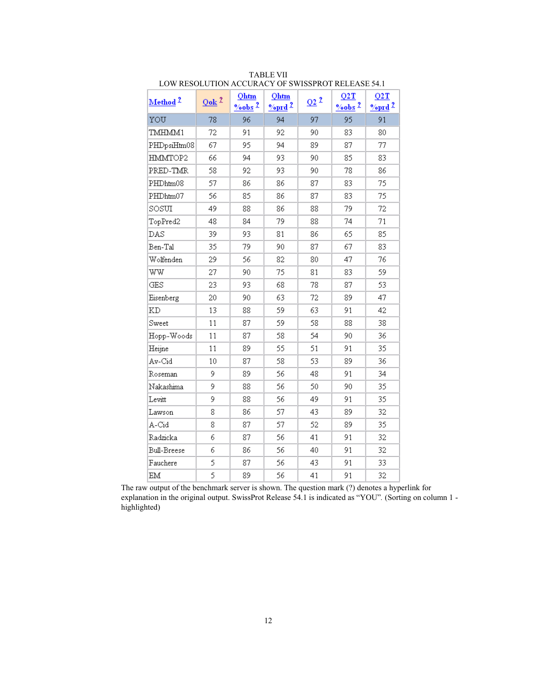| Method <sup>2</sup> | $Q$ ok <sup>2</sup> | Qhtm<br>$\frac{9}{6}$ obs <sup>2</sup> | Qhtm<br>$\frac{9}{\sqrt{2}}$ | $Q2^2$ | Q2T<br>$\frac{9}{6}$ obs <sup>2</sup> | Q2T<br>$\frac{9}{\sqrt{2}}$ |
|---------------------|---------------------|----------------------------------------|------------------------------|--------|---------------------------------------|-----------------------------|
| YOU                 | 78                  | 96                                     | 94                           | 97     | 95                                    | 91                          |
| TMHMM1              | 72                  | 91                                     | 92                           | 90     | 83                                    | 80                          |
| PHDpsiHtm08         | 67                  | 95                                     | 94                           | 89     | 87                                    | 77                          |
| HMMTOP2             | 66                  | 94                                     | 93                           | 90     | 85                                    | 83                          |
| PRED-TMR            | 58                  | 92                                     | 93                           | 90     | 78                                    | 86                          |
| PHDhtm08            | 57                  | 86                                     | 86                           | 87     | 83                                    | 75                          |
| PHDhtm07            | 56                  | 85                                     | 86                           | 87     | 83                                    | 75                          |
| SOSUI               | 49                  | 88                                     | 86                           | 88     | 79                                    | 72                          |
| TopPred2            | 48                  | 84                                     | 79                           | 88     | 74                                    | 71                          |
| DAS                 | 39                  | 93                                     | 81                           | 86     | 65                                    | 85                          |
| Ben-Tal             | 35                  | 79                                     | 90                           | 87     | 67                                    | 83                          |
| Wolfenden           | 29                  | 56                                     | 82                           | 80     | 47                                    | 76                          |
| WW                  | 27                  | 90                                     | 75                           | 81     | 83                                    | 59                          |
| GES                 | 23                  | 93                                     | 68                           | 78     | 87                                    | 53                          |
| Eisenberg           | 20                  | 90                                     | 63                           | 72     | 89                                    | 47                          |
| <b>KD</b>           | 13                  | 88                                     | 59                           | 63     | 91                                    | 42                          |
| Sweet               | 11                  | 87                                     | 59                           | 58     | 88                                    | 38                          |
| Hopp-Woods          | 11                  | 87                                     | 58                           | 54     | 90                                    | 36                          |
| Heijne              | 11                  | 89                                     | 55                           | 51     | 91                                    | 35                          |
| Av-Cid              | 10 <sup>10</sup>    | 87                                     | 58                           | 53     | 89                                    | 36                          |
| Roseman             | 9                   | 89                                     | 56                           | 48     | 91                                    | 34                          |
| Nakashima           | 9                   | 88                                     | 56                           | 50     | 90                                    | 35                          |
| Levitt              | 9                   | 88                                     | 56                           | 49     | 91                                    | 35                          |
| Lawson              | 8                   | 86                                     | 57                           | 43     | 89                                    | 32                          |
| A-Cid               | 8                   | 87                                     | 57                           | 52     | 89                                    | 35                          |
| Radzicka            | 6                   | 87                                     | 56                           | 41     | 91                                    | 32                          |
| Bull-Breese         | 6                   | 86                                     | 56                           | 40     | 91                                    | 32                          |
| Fauchere            | 5                   | 87                                     | 56                           | 43     | 91                                    | 33                          |
| ΕM                  | 5                   | 89                                     | 56                           | 41     | 91                                    | 32                          |

TABLE VII LOW RESOLUTION ACCURACY OF SWISSPROT RELEASE 54.1

The raw output of the benchmark server is shown. The question mark (?) denotes a hyperlink for explanation in the original output. SwissProt Release 54.1 is indicated as "YOU"*.* (Sorting on column 1 highlighted)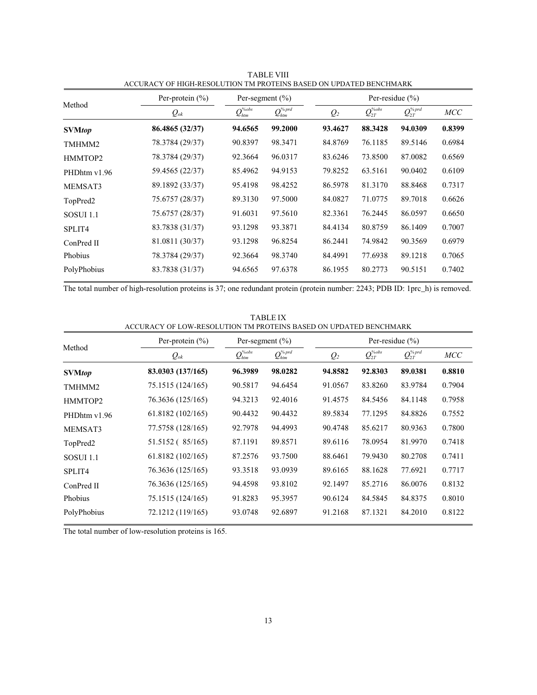|                      | Per-protein $(\% )$ | Per-segment $(\% )$                                              |                                                                 |                | Per-residue $(\% )$         |                            |            |  |
|----------------------|---------------------|------------------------------------------------------------------|-----------------------------------------------------------------|----------------|-----------------------------|----------------------------|------------|--|
| Method               | $Q_{ok}$            | $\mathcal{Q}_{\scriptscriptstyle htm}^{\scriptscriptstyle\%obs}$ | $\mathcal{Q}_{\mathit{htm}}^{\scriptscriptstyle\%\textit{prd}}$ | Q <sub>2</sub> | $\mathcal Q_{2T}^{''\!obs}$ | $\mathcal{Q}_{2T}^{\%prd}$ | <b>MCC</b> |  |
| <b>SVMtop</b>        | 86.4865 (32/37)     | 94.6565                                                          | 99.2000                                                         | 93.4627        | 88.3428                     | 94.0309                    | 0.8399     |  |
| TMHMM2               | 78.3784 (29/37)     | 90.8397                                                          | 98.3471                                                         | 84.8769        | 76.1185                     | 89.5146                    | 0.6984     |  |
| HMMTOP2              | 78.3784 (29/37)     | 92.3664                                                          | 96.0317                                                         | 83.6246        | 73.8500                     | 87.0082                    | 0.6569     |  |
| PHDhtm v1.96         | 59.4565 (22/37)     | 85.4962                                                          | 94.9153                                                         | 79.8252        | 63.5161                     | 90.0402                    | 0.6109     |  |
| MEMSAT3              | 89.1892 (33/37)     | 95.4198                                                          | 98.4252                                                         | 86.5978        | 81.3170                     | 88.8468                    | 0.7317     |  |
| TopPred <sub>2</sub> | 75.6757 (28/37)     | 89.3130                                                          | 97.5000                                                         | 84.0827        | 71.0775                     | 89.7018                    | 0.6626     |  |
| <b>SOSUI 1.1</b>     | 75.6757 (28/37)     | 91.6031                                                          | 97.5610                                                         | 82.3361        | 76.2445                     | 86.0597                    | 0.6650     |  |
| SPLIT4               | 83.7838 (31/37)     | 93.1298                                                          | 93.3871                                                         | 84.4134        | 80.8759                     | 86.1409                    | 0.7007     |  |
| ConPred II           | 81.0811 (30/37)     | 93.1298                                                          | 96.8254                                                         | 86.2441        | 74.9842                     | 90.3569                    | 0.6979     |  |
| Phobius              | 78.3784 (29/37)     | 92.3664                                                          | 98.3740                                                         | 84.4991        | 77.6938                     | 89.1218                    | 0.7065     |  |
| PolyPhobius          | 83.7838 (31/37)     | 94.6565                                                          | 97.6378                                                         | 86.1955        | 80.2773                     | 90.5151                    | 0.7402     |  |

TABLE VIII ACCURACY OF HIGH-RESOLUTION TM PROTEINS BASED ON UPDATED BENCHMARK

The total number of high-resolution proteins is 37; one redundant protein (protein number: 2243; PDB ID: 1prc\_h) is removed.

# ACCURACY OF LOW-RESOLUTION TM PROTEINS BASED ON UPDATED BENCHMARK Method Per-protein  $\frac{(\%)}{(\%)}$  Per-segment  $\frac{(\%)}{(\%)}$  Per-residue  $\frac{(\%)}{(\%)}$  $Q_{ok}$   $Q_{htm}^{\%obs}$  $Q_{{\scriptscriptstyle htm}}^{{\scriptscriptstyle\gamma}{\scriptscriptstyle\alpha\!\!{{\scriptscriptstyle\gamma}}\!\!{{\scriptscriptstyle\gamma}}\!\!{{\scriptscriptstyle\gamma}}\!{{\scriptscriptstyle\gamma}}}}$   $Q_2$  $\mathcal Q_{2T}^{\scriptscriptstyle\%obs}$  $\mathcal{Q}_{2T}^{\tiny \%\textit{prd}}$  MCC **SVM***top* **83.0303 (137/165) 96.3989 98.0282 94.8582 92.8303 89.0381 0.8810**  TMHMM2 75.1515 (124/165) 90.5817 94.6454 91.0567 83.8260 83.9784 0.7904 HMMTOP2 76.3636 (125/165) 94.3213 92.4016 91.4575 84.5456 84.1148 0.7958 PHDhtm v1.96 61.8182 (102/165) 90.4432 90.4432 89.5834 77.1295 84.8826 0.7552 MEMSAT3 77.5758 (128/165) 92.7978 94.4993 90.4748 85.6217 80.9363 0.7800 TopPred2 51.5152 (85/165) 87.1191 89.8571 89.6116 78.0954 81.9970 0.7418 SOSUI 1.1 61.8182 (102/165) 87.2576 93.7500 88.6461 79.9430 80.2708 0.7411 SPLIT4 76.3636 (125/165) 93.3518 93.0939 89.6165 88.1628 77.6921 0.7717 ConPred II 76.3636 (125/165) 94.4598 93.8102 92.1497 85.2716 86.0076 0.8132 Phobius 75.1515 (124/165) 91.8283 95.3957 90.6124 84.5845 84.8375 0.8010 PolyPhobius 72.1212 (119/165) 93.0748 92.6897 91.2168 87.1321 84.2010 0.8122

TABLE IX

The total number of low-resolution proteins is 165.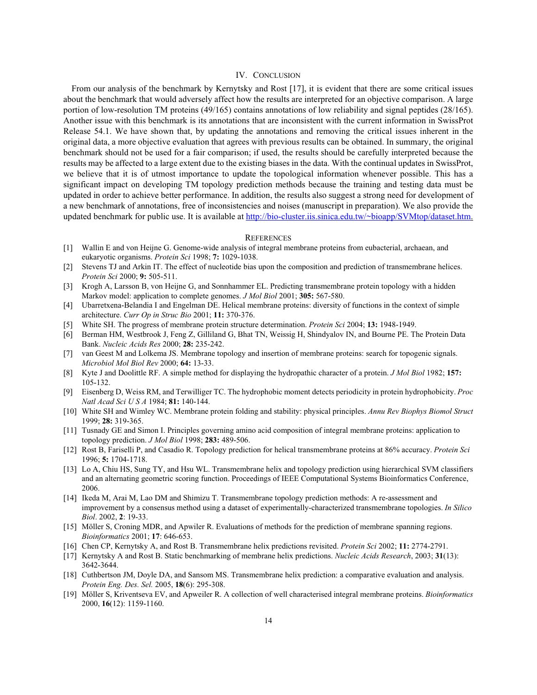# IV. CONCLUSION

From our analysis of the benchmark by Kernytsky and Rost [17], it is evident that there are some critical issues about the benchmark that would adversely affect how the results are interpreted for an objective comparison. A large portion of low-resolution TM proteins (49/165) contains annotations of low reliability and signal peptides (28/165). Another issue with this benchmark is its annotations that are inconsistent with the current information in SwissProt Release 54.1. We have shown that, by updating the annotations and removing the critical issues inherent in the original data, a more objective evaluation that agrees with previous results can be obtained. In summary, the original benchmark should not be used for a fair comparison; if used, the results should be carefully interpreted because the results may be affected to a large extent due to the existing biases in the data. With the continual updates in SwissProt, we believe that it is of utmost importance to update the topological information whenever possible. This has a significant impact on developing TM topology prediction methods because the training and testing data must be updated in order to achieve better performance. In addition, the results also suggest a strong need for development of a new benchmark of annotations, free of inconsistencies and noises (manuscript in preparation). We also provide the updated benchmark for public use. It is available at http://bio-cluster.iis.sinica.edu.tw/~bioapp/SVMtop/dataset.htm.

#### **REFERENCES**

- [1] Wallin E and von Heijne G. Genome-wide analysis of integral membrane proteins from eubacterial, archaean, and eukaryotic organisms. *Protein Sci* 1998; **7:** 1029-1038.
- [2] Stevens TJ and Arkin IT. The effect of nucleotide bias upon the composition and prediction of transmembrane helices. *Protein Sci* 2000; **9:** 505-511.
- [3] Krogh A, Larsson B, von Heijne G, and Sonnhammer EL. Predicting transmembrane protein topology with a hidden Markov model: application to complete genomes. *J Mol Biol* 2001; **305:** 567-580.
- [4] Ubarretxena-Belandia I and Engelman DE. Helical membrane proteins: diversity of functions in the context of simple architecture. *Curr Op in Struc Bio* 2001; **11:** 370-376.
- [5] White SH. The progress of membrane protein structure determination. *Protein Sci* 2004; **13:** 1948-1949.
- [6] Berman HM, Westbrook J, Feng Z, Gilliland G, Bhat TN, Weissig H, Shindyalov IN, and Bourne PE. The Protein Data Bank. *Nucleic Acids Res* 2000; **28:** 235-242.
- [7] van Geest M and Lolkema JS. Membrane topology and insertion of membrane proteins: search for topogenic signals. *Microbiol Mol Biol Rev* 2000; **64:** 13-33.
- [8] Kyte J and Doolittle RF. A simple method for displaying the hydropathic character of a protein. *J Mol Biol* 1982; **157:** 105-132.
- [9] Eisenberg D, Weiss RM, and Terwilliger TC. The hydrophobic moment detects periodicity in protein hydrophobicity. *Proc Natl Acad Sci U S A* 1984; **81:** 140-144.
- [10] White SH and Wimley WC. Membrane protein folding and stability: physical principles. *Annu Rev Biophys Biomol Struct* 1999; **28:** 319-365.
- [11] Tusnady GE and Simon I. Principles governing amino acid composition of integral membrane proteins: application to topology prediction. *J Mol Biol* 1998; **283:** 489-506.
- [12] Rost B, Fariselli P, and Casadio R. Topology prediction for helical transmembrane proteins at 86% accuracy. *Protein Sci* 1996; **5:** 1704-1718.
- [13] Lo A, Chiu HS, Sung TY, and Hsu WL. Transmembrane helix and topology prediction using hierarchical SVM classifiers and an alternating geometric scoring function. Proceedings of IEEE Computational Systems Bioinformatics Conference, 2006.
- [14] Ikeda M, Arai M, Lao DM and Shimizu T. Transmembrane topology prediction methods: A re-assessment and improvement by a consensus method using a dataset of experimentally-characterized transmembrane topologies. *In Silico Biol*. 2002, **2**: 19-33.
- [15] Möller S, Croning MDR, and Apwiler R. Evaluations of methods for the prediction of membrane spanning regions. *Bioinformatics* 2001; **17**: 646-653.
- [16] Chen CP, Kernytsky A, and Rost B. Transmembrane helix predictions revisited. *Protein Sci* 2002; **11:** 2774-2791.
- [17] Kernytsky A and Rost B. Static benchmarking of membrane helix predictions. *Nucleic Acids Research*, 2003; **31**(13): 3642-3644.
- [18] Cuthbertson JM, Doyle DA, and Sansom MS. Transmembrane helix prediction: a comparative evaluation and analysis. *Protein Eng. Des. Sel.* 2005, **18**(6): 295-308.
- [19] Möller S, Kriventseva EV, and Apweiler R. A collection of well characterised integral membrane proteins. *Bioinformatics*  2000, **16**(12): 1159-1160.